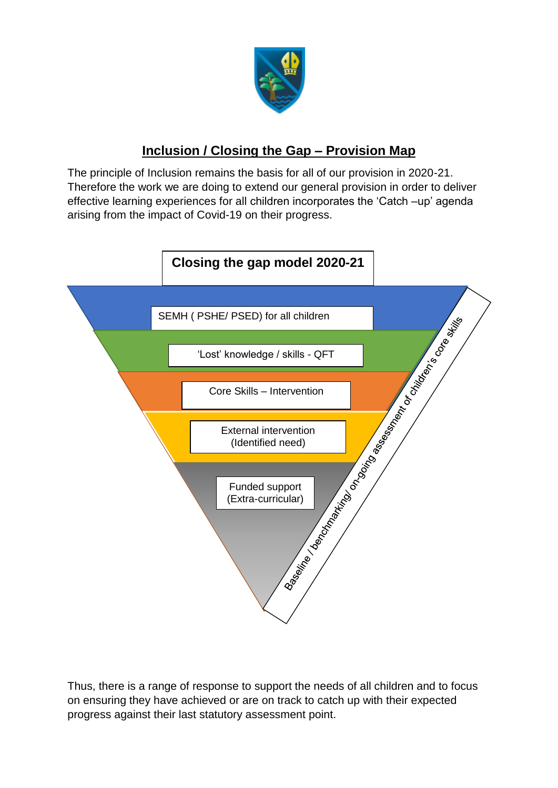

## **Inclusion / Closing the Gap – Provision Map**

The principle of Inclusion remains the basis for all of our provision in 2020-21. Therefore the work we are doing to extend our general provision in order to deliver effective learning experiences for all children incorporates the 'Catch –up' agenda arising from the impact of Covid-19 on their progress.



Thus, there is a range of response to support the needs of all children and to focus on ensuring they have achieved or are on track to catch up with their expected progress against their last statutory assessment point.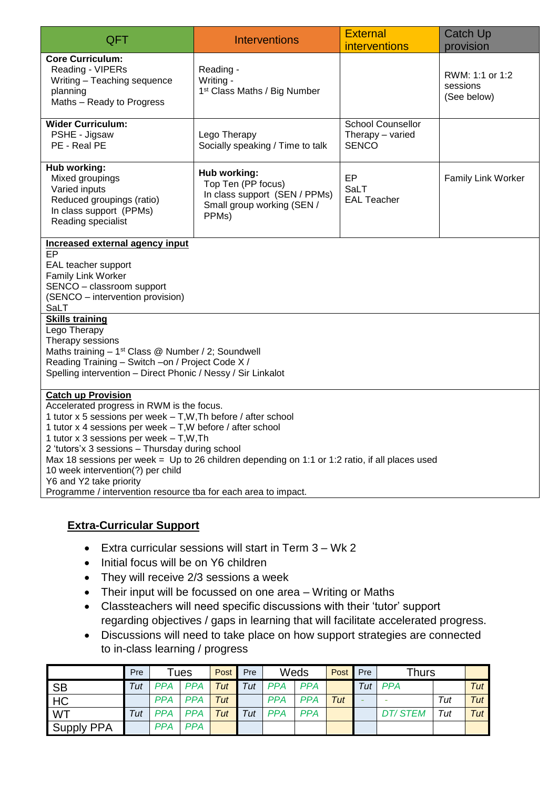| QFT                                                                                                                                                                                                                                                                                                                                                                                                                                                                                                                                       | <b>Interventions</b>                                                                                       | <b>External</b><br><i>interventions</i>                      | <b>Catch Up</b><br>provision               |  |  |  |
|-------------------------------------------------------------------------------------------------------------------------------------------------------------------------------------------------------------------------------------------------------------------------------------------------------------------------------------------------------------------------------------------------------------------------------------------------------------------------------------------------------------------------------------------|------------------------------------------------------------------------------------------------------------|--------------------------------------------------------------|--------------------------------------------|--|--|--|
| <b>Core Curriculum:</b><br>Reading - VIPERs<br>Writing - Teaching sequence<br>planning<br>Maths - Ready to Progress                                                                                                                                                                                                                                                                                                                                                                                                                       | Reading -<br>Writing -<br>1 <sup>st</sup> Class Maths / Big Number                                         |                                                              | RWM: 1:1 or 1:2<br>sessions<br>(See below) |  |  |  |
| <b>Wider Curriculum:</b><br>PSHE - Jigsaw<br>PE - Real PE                                                                                                                                                                                                                                                                                                                                                                                                                                                                                 | Lego Therapy<br>Socially speaking / Time to talk                                                           | <b>School Counsellor</b><br>Therapy - varied<br><b>SENCO</b> |                                            |  |  |  |
| Hub working:<br>Mixed groupings<br>Varied inputs<br>Reduced groupings (ratio)<br>In class support (PPMs)<br>Reading specialist                                                                                                                                                                                                                                                                                                                                                                                                            | Hub working:<br>Top Ten (PP focus)<br>In class support (SEN / PPMs)<br>Small group working (SEN /<br>PPMs) | EP<br>SaLT<br><b>EAL Teacher</b>                             | <b>Family Link Worker</b>                  |  |  |  |
| Increased external agency input<br>$\overline{EP}$<br>EAL teacher support<br>Family Link Worker<br>SENCO - classroom support<br>(SENCO - intervention provision)<br>SaLT                                                                                                                                                                                                                                                                                                                                                                  |                                                                                                            |                                                              |                                            |  |  |  |
| <b>Skills training</b><br>Lego Therapy<br>Therapy sessions<br>Maths training - 1 <sup>st</sup> Class @ Number / 2; Soundwell<br>Reading Training - Switch -on / Project Code X /<br>Spelling intervention - Direct Phonic / Nessy / Sir Linkalot                                                                                                                                                                                                                                                                                          |                                                                                                            |                                                              |                                            |  |  |  |
| <b>Catch up Provision</b><br>Accelerated progress in RWM is the focus.<br>1 tutor x 5 sessions per week - T, W, Th before / after school<br>1 tutor x 4 sessions per week - T, W before / after school<br>1 tutor x 3 sessions per week - T, W, Th<br>2 'tutors'x 3 sessions - Thursday during school<br>Max 18 sessions per week = Up to 26 children depending on 1:1 or 1:2 ratio, if all places used<br>10 week intervention(?) per child<br>Y6 and Y2 take priority<br>Programme / intervention resource tba for each area to impact. |                                                                                                            |                                                              |                                            |  |  |  |

## **Extra-Curricular Support**

- Extra curricular sessions will start in Term 3 Wk 2
- Initial focus will be on Y6 children
- They will receive 2/3 sessions a week
- Their input will be focussed on one area Writing or Maths
- Classteachers will need specific discussions with their 'tutor' support regarding objectives / gaps in learning that will facilitate accelerated progress.
- Discussions will need to take place on how support strategies are connected to in-class learning / progress

|                   | Pre         |            | Tues       | <b>Post</b> | Pre | Weds       |            | Post | Pre | <b>Thurs</b>   |     |     |
|-------------------|-------------|------------|------------|-------------|-----|------------|------------|------|-----|----------------|-----|-----|
| <b>SB</b>         | Tut         | PPA PPA    |            | Tut         | Tut | <b>PPA</b> | <b>PPA</b> |      | Tut | <b>PPA</b>     |     | Tut |
| HC                |             | <b>PPA</b> | <b>PPA</b> | Tut         |     | <b>PPA</b> | <b>PPA</b> | Tut  |     |                | Tut | Tut |
| WT                | $\tau_{Ut}$ | <b>PPA</b> | <b>PPA</b> | Tut         | Tut | <b>PPA</b> | <b>PPA</b> |      |     | <b>DT/STEM</b> | Tut | Tut |
| <b>Supply PPA</b> |             | <b>PPA</b> | <b>PPA</b> |             |     |            |            |      |     |                |     |     |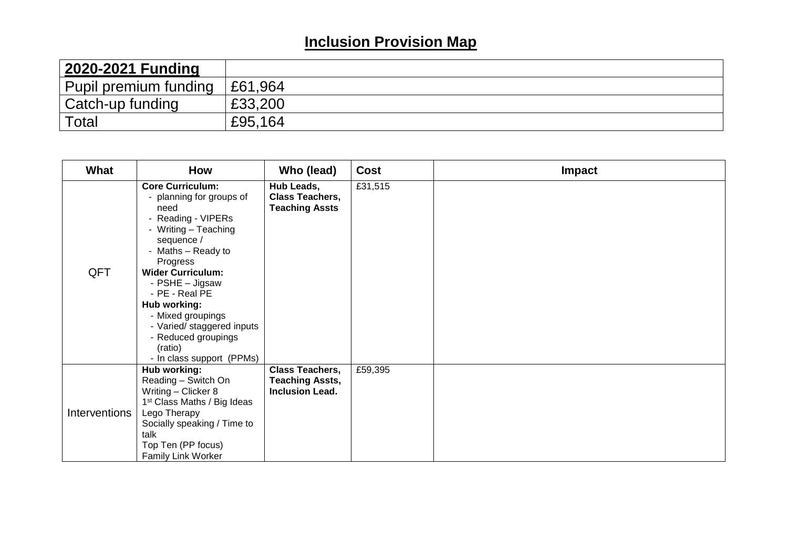## **Inclusion Provision Map**

| 2020-2021 Funding     |         |
|-----------------------|---------|
| Pupil premium funding | £61,964 |
| Catch-up funding      | £33,200 |
| Total                 | £95,164 |

| What          | <b>How</b>                                                                                                                                                                                                                                                                                                                                                 | Who (lead)                                                                 | <b>Cost</b> | Impact |
|---------------|------------------------------------------------------------------------------------------------------------------------------------------------------------------------------------------------------------------------------------------------------------------------------------------------------------------------------------------------------------|----------------------------------------------------------------------------|-------------|--------|
| QFT           | <b>Core Curriculum:</b><br>planning for groups of<br>need<br>- Reading - VIPERs<br>- Writing - Teaching<br>sequence /<br>- Maths - Ready to<br>Progress<br><b>Wider Curriculum:</b><br>- PSHE - Jigsaw<br>- PE - Real PE<br>Hub working:<br>- Mixed groupings<br>- Varied/ staggered inputs<br>- Reduced groupings<br>(ratio)<br>- In class support (PPMs) | Hub Leads,<br><b>Class Teachers,</b><br><b>Teaching Assts</b>              | £31,515     |        |
| Interventions | Hub working:<br>Reading - Switch On<br>Writing - Clicker 8<br>1 <sup>st</sup> Class Maths / Big Ideas<br>Lego Therapy<br>Socially speaking / Time to<br>talk<br>Top Ten (PP focus)<br><b>Family Link Worker</b>                                                                                                                                            | <b>Class Teachers,</b><br><b>Teaching Assts,</b><br><b>Inclusion Lead.</b> | £59,395     |        |